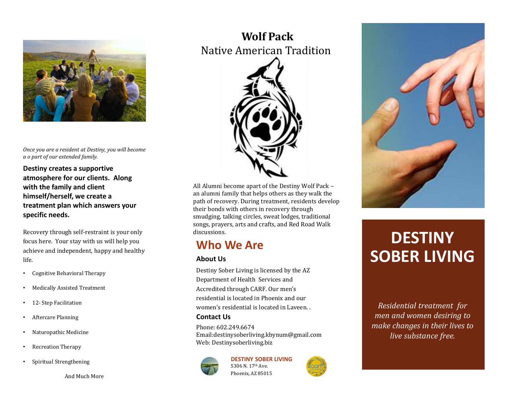

*Once you are a resident at Destiny, you will become a o part of our extended family.*

**Destiny creates a supportive atmosphere for our clients. Along with the family and client himself/herself, we create a treatment plan which answers your specific needs.**

Recovery through self-restraint is your only focus here. Your stay with us will help you achieve and independent, happy and healthy life.

- Cognitive Behavioral Therapy
- Medically Assisted Treatment
- 12- Step Facilitation
- Aftercare Planning
- Naturopathic Medicine
- Recreation Therapy
- Spiritual Strengthening

And Much More

## **Wolf Pack**  Native American Tradition



All Alumni become apart of the Destiny Wolf Pack – an alumni family that helps others as they walk the path of recovery. During treatment, residents develop their bonds with others in recovery through smudging, talking circles, sweat lodges, traditional songs, prayers, arts and crafts, and Red Road Walk discussions.

### **Who We Are**

### **About Us**

Destiny Sober Living is licensed by the AZ Department of Health Services and Accredited through CARF. Our men's residential is located in Phoenix and our women's residential is located in Laveen.

#### **Contact Us**

Phone: 602.249.6674 Email:destinysoberliving.kbynum@gmail.com Web: Destinysoberliving.biz



**DESTINY SOBER LIVING** 5306 N. 17<sup>th</sup> Ave. Phoenix, AZ 85015



# **DESTINY SOBER LIVING**

*Residential treatment for men and women desiring to make changes in their lives to live substance free.*